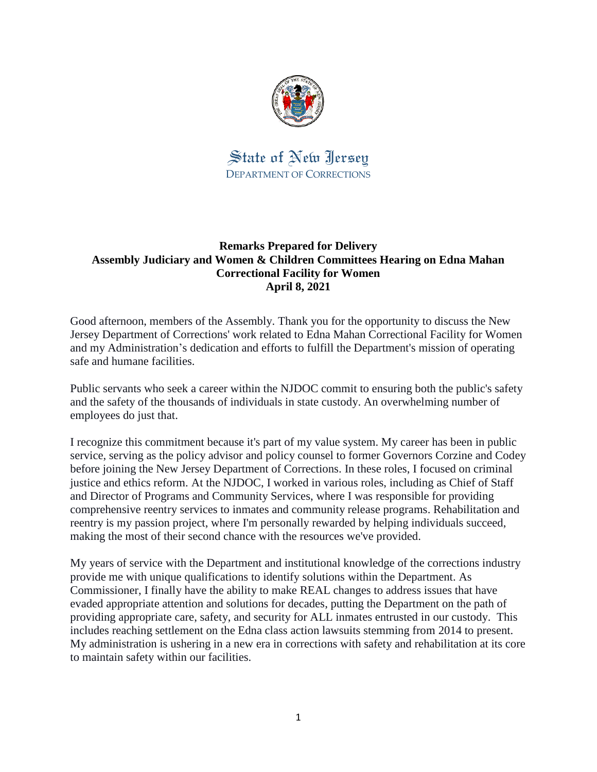

State of New Jersey DEPARTMENT OF CORRECTIONS

# **Remarks Prepared for Delivery Assembly Judiciary and Women & Children Committees Hearing on Edna Mahan Correctional Facility for Women April 8, 2021**

Good afternoon, members of the Assembly. Thank you for the opportunity to discuss the New Jersey Department of Corrections' work related to Edna Mahan Correctional Facility for Women and my Administration's dedication and efforts to fulfill the Department's mission of operating safe and humane facilities.

Public servants who seek a career within the NJDOC commit to ensuring both the public's safety and the safety of the thousands of individuals in state custody. An overwhelming number of employees do just that.

I recognize this commitment because it's part of my value system. My career has been in public service, serving as the policy advisor and policy counsel to former Governors Corzine and Codey before joining the New Jersey Department of Corrections. In these roles, I focused on criminal justice and ethics reform. At the NJDOC, I worked in various roles, including as Chief of Staff and Director of Programs and Community Services, where I was responsible for providing comprehensive reentry services to inmates and community release programs. Rehabilitation and reentry is my passion project, where I'm personally rewarded by helping individuals succeed, making the most of their second chance with the resources we've provided.

My years of service with the Department and institutional knowledge of the corrections industry provide me with unique qualifications to identify solutions within the Department. As Commissioner, I finally have the ability to make REAL changes to address issues that have evaded appropriate attention and solutions for decades, putting the Department on the path of providing appropriate care, safety, and security for ALL inmates entrusted in our custody. This includes reaching settlement on the Edna class action lawsuits stemming from 2014 to present. My administration is ushering in a new era in corrections with safety and rehabilitation at its core to maintain safety within our facilities.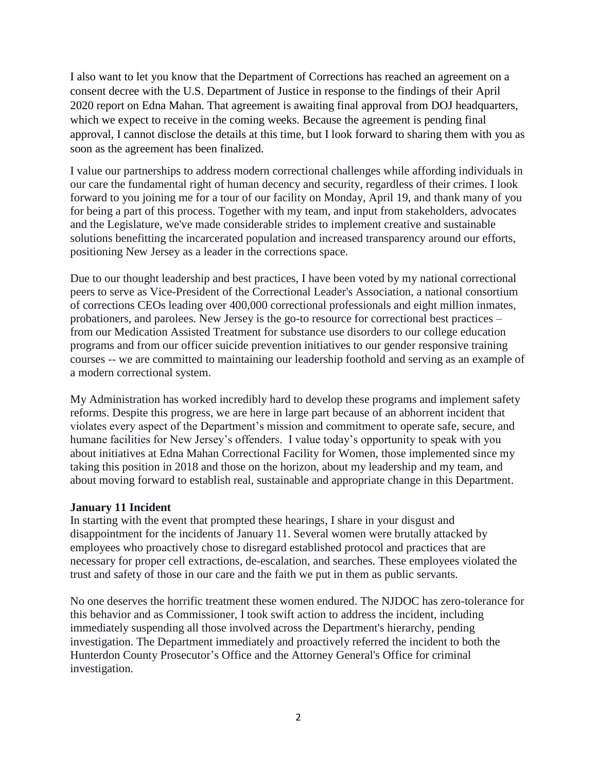I also want to let you know that the Department of Corrections has reached an agreement on a consent decree with the U.S. Department of Justice in response to the findings of their April 2020 report on Edna Mahan. That agreement is awaiting final approval from DOJ headquarters, which we expect to receive in the coming weeks. Because the agreement is pending final approval, I cannot disclose the details at this time, but I look forward to sharing them with you as soon as the agreement has been finalized.

I value our partnerships to address modern correctional challenges while affording individuals in our care the fundamental right of human decency and security, regardless of their crimes. I look forward to you joining me for a tour of our facility on Monday, April 19, and thank many of you for being a part of this process. Together with my team, and input from stakeholders, advocates and the Legislature, we've made considerable strides to implement creative and sustainable solutions benefitting the incarcerated population and increased transparency around our efforts, positioning New Jersey as a leader in the corrections space.

Due to our thought leadership and best practices, I have been voted by my national correctional peers to serve as Vice-President of the Correctional Leader's Association, a national consortium of corrections CEOs leading over 400,000 correctional professionals and eight million inmates, probationers, and parolees. New Jersey is the go-to resource for correctional best practices – from our Medication Assisted Treatment for substance use disorders to our college education programs and from our officer suicide prevention initiatives to our gender responsive training courses -- we are committed to maintaining our leadership foothold and serving as an example of a modern correctional system.

My Administration has worked incredibly hard to develop these programs and implement safety reforms. Despite this progress, we are here in large part because of an abhorrent incident that violates every aspect of the Department's mission and commitment to operate safe, secure, and humane facilities for New Jersey's offenders. I value today's opportunity to speak with you about initiatives at Edna Mahan Correctional Facility for Women, those implemented since my taking this position in 2018 and those on the horizon, about my leadership and my team, and about moving forward to establish real, sustainable and appropriate change in this Department.

## **January 11 Incident**

In starting with the event that prompted these hearings, I share in your disgust and disappointment for the incidents of January 11. Several women were brutally attacked by employees who proactively chose to disregard established protocol and practices that are necessary for proper cell extractions, de-escalation, and searches. These employees violated the trust and safety of those in our care and the faith we put in them as public servants.

No one deserves the horrific treatment these women endured. The NJDOC has zero-tolerance for this behavior and as Commissioner, I took swift action to address the incident, including immediately suspending all those involved across the Department's hierarchy, pending investigation. The Department immediately and proactively referred the incident to both the Hunterdon County Prosecutor's Office and the Attorney General's Office for criminal investigation.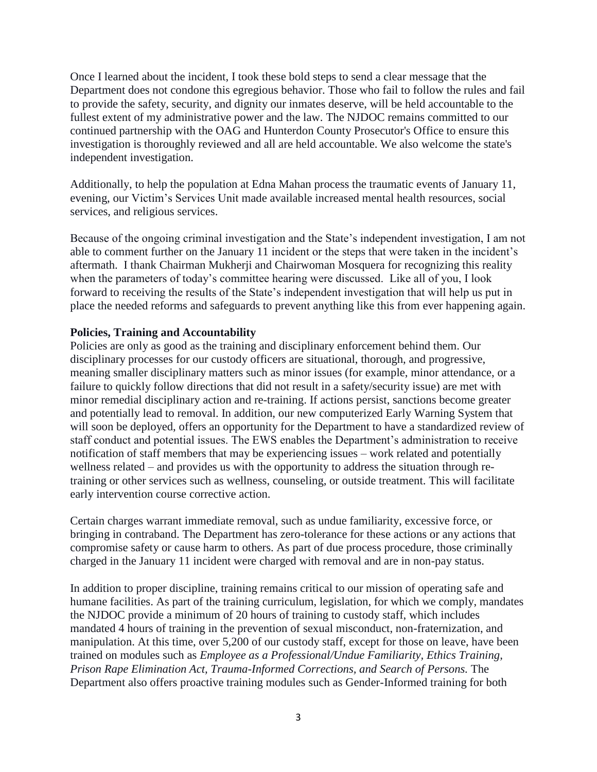Once I learned about the incident, I took these bold steps to send a clear message that the Department does not condone this egregious behavior. Those who fail to follow the rules and fail to provide the safety, security, and dignity our inmates deserve, will be held accountable to the fullest extent of my administrative power and the law. The NJDOC remains committed to our continued partnership with the OAG and Hunterdon County Prosecutor's Office to ensure this investigation is thoroughly reviewed and all are held accountable. We also welcome the state's independent investigation.

Additionally, to help the population at Edna Mahan process the traumatic events of January 11, evening, our Victim's Services Unit made available increased mental health resources, social services, and religious services.

Because of the ongoing criminal investigation and the State's independent investigation, I am not able to comment further on the January 11 incident or the steps that were taken in the incident's aftermath. I thank Chairman Mukherji and Chairwoman Mosquera for recognizing this reality when the parameters of today's committee hearing were discussed. Like all of you, I look forward to receiving the results of the State's independent investigation that will help us put in place the needed reforms and safeguards to prevent anything like this from ever happening again.

## **Policies, Training and Accountability**

Policies are only as good as the training and disciplinary enforcement behind them. Our disciplinary processes for our custody officers are situational, thorough, and progressive, meaning smaller disciplinary matters such as minor issues (for example, minor attendance, or a failure to quickly follow directions that did not result in a safety/security issue) are met with minor remedial disciplinary action and re-training. If actions persist, sanctions become greater and potentially lead to removal. In addition, our new computerized Early Warning System that will soon be deployed, offers an opportunity for the Department to have a standardized review of staff conduct and potential issues. The EWS enables the Department's administration to receive notification of staff members that may be experiencing issues – work related and potentially wellness related – and provides us with the opportunity to address the situation through retraining or other services such as wellness, counseling, or outside treatment. This will facilitate early intervention course corrective action.

Certain charges warrant immediate removal, such as undue familiarity, excessive force, or bringing in contraband. The Department has zero-tolerance for these actions or any actions that compromise safety or cause harm to others. As part of due process procedure, those criminally charged in the January 11 incident were charged with removal and are in non-pay status.

In addition to proper discipline, training remains critical to our mission of operating safe and humane facilities. As part of the training curriculum, legislation, for which we comply, mandates the NJDOC provide a minimum of 20 hours of training to custody staff, which includes mandated 4 hours of training in the prevention of sexual misconduct, non-fraternization, and manipulation. At this time, over 5,200 of our custody staff, except for those on leave, have been trained on modules such as *Employee as a Professional/Undue Familiarity, Ethics Training, Prison Rape Elimination Act, Trauma-Informed Corrections, and Search of Persons.* The Department also offers proactive training modules such as Gender-Informed training for both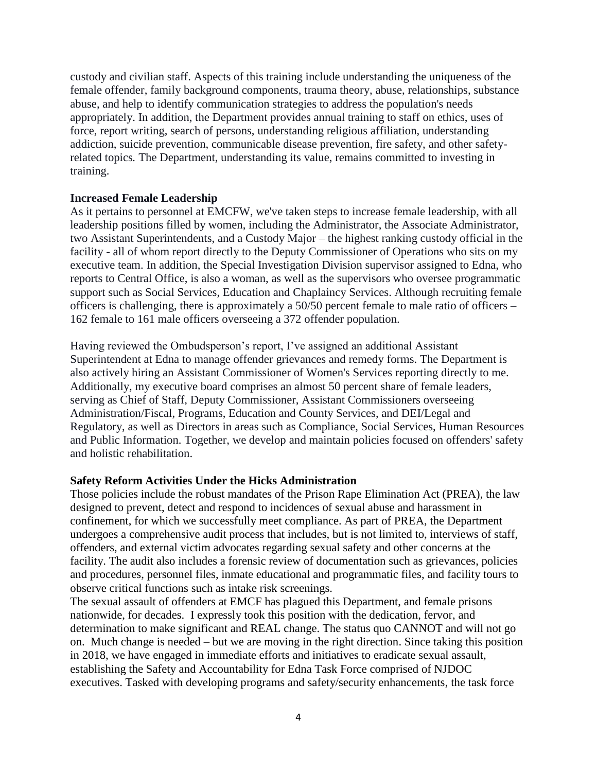custody and civilian staff. Aspects of this training include understanding the uniqueness of the female offender, family background components, trauma theory, abuse, relationships, substance abuse, and help to identify communication strategies to address the population's needs appropriately. In addition, the Department provides annual training to staff on ethics, uses of force, report writing, search of persons, understanding religious affiliation, understanding addiction, suicide prevention, communicable disease prevention, fire safety, and other safetyrelated topics*.* The Department, understanding its value, remains committed to investing in training.

#### **Increased Female Leadership**

As it pertains to personnel at EMCFW, we've taken steps to increase female leadership, with all leadership positions filled by women, including the Administrator, the Associate Administrator, two Assistant Superintendents, and a Custody Major – the highest ranking custody official in the facility - all of whom report directly to the Deputy Commissioner of Operations who sits on my executive team. In addition, the Special Investigation Division supervisor assigned to Edna, who reports to Central Office, is also a woman, as well as the supervisors who oversee programmatic support such as Social Services, Education and Chaplaincy Services. Although recruiting female officers is challenging, there is approximately a 50/50 percent female to male ratio of officers – 162 female to 161 male officers overseeing a 372 offender population.

Having reviewed the Ombudsperson's report, I've assigned an additional Assistant Superintendent at Edna to manage offender grievances and remedy forms. The Department is also actively hiring an Assistant Commissioner of Women's Services reporting directly to me. Additionally, my executive board comprises an almost 50 percent share of female leaders, serving as Chief of Staff, Deputy Commissioner, Assistant Commissioners overseeing Administration/Fiscal, Programs, Education and County Services, and DEI/Legal and Regulatory, as well as Directors in areas such as Compliance, Social Services, Human Resources and Public Information. Together, we develop and maintain policies focused on offenders' safety and holistic rehabilitation.

## **Safety Reform Activities Under the Hicks Administration**

Those policies include the robust mandates of the Prison Rape Elimination Act (PREA), the law designed to prevent, detect and respond to incidences of sexual abuse and harassment in confinement, for which we successfully meet compliance. As part of PREA, the Department undergoes a comprehensive audit process that includes, but is not limited to, interviews of staff, offenders, and external victim advocates regarding sexual safety and other concerns at the facility. The audit also includes a forensic review of documentation such as grievances, policies and procedures, personnel files, inmate educational and programmatic files, and facility tours to observe critical functions such as intake risk screenings.

The sexual assault of offenders at EMCF has plagued this Department, and female prisons nationwide, for decades. I expressly took this position with the dedication, fervor, and determination to make significant and REAL change. The status quo CANNOT and will not go on. Much change is needed – but we are moving in the right direction. Since taking this position in 2018, we have engaged in immediate efforts and initiatives to eradicate sexual assault, establishing the Safety and Accountability for Edna Task Force comprised of NJDOC executives. Tasked with developing programs and safety/security enhancements, the task force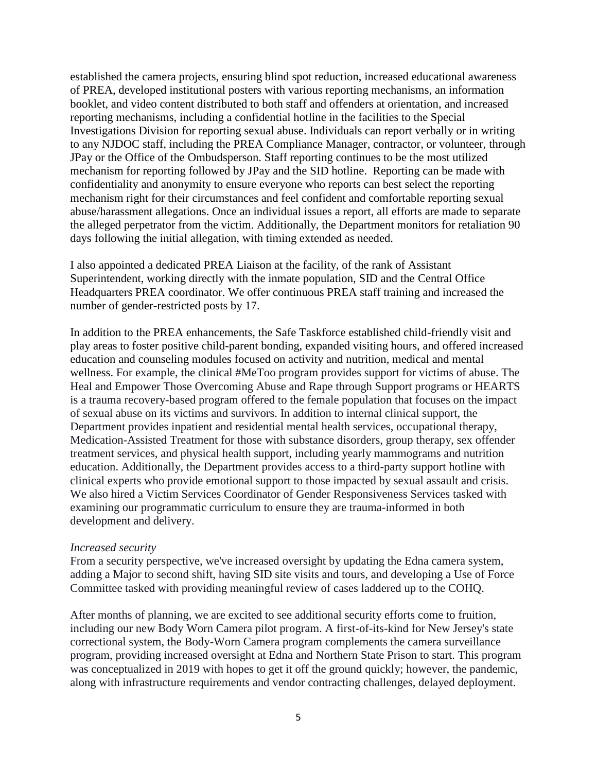established the camera projects, ensuring blind spot reduction, increased educational awareness of PREA, developed institutional posters with various reporting mechanisms, an information booklet, and video content distributed to both staff and offenders at orientation, and increased reporting mechanisms, including a confidential hotline in the facilities to the Special Investigations Division for reporting sexual abuse. Individuals can report verbally or in writing to any NJDOC staff, including the PREA Compliance Manager, contractor, or volunteer, through JPay or the Office of the Ombudsperson. Staff reporting continues to be the most utilized mechanism for reporting followed by JPay and the SID hotline. Reporting can be made with confidentiality and anonymity to ensure everyone who reports can best select the reporting mechanism right for their circumstances and feel confident and comfortable reporting sexual abuse/harassment allegations. Once an individual issues a report, all efforts are made to separate the alleged perpetrator from the victim. Additionally, the Department monitors for retaliation 90 days following the initial allegation, with timing extended as needed.

I also appointed a dedicated PREA Liaison at the facility, of the rank of Assistant Superintendent, working directly with the inmate population, SID and the Central Office Headquarters PREA coordinator. We offer continuous PREA staff training and increased the number of gender-restricted posts by 17.

In addition to the PREA enhancements, the Safe Taskforce established child-friendly visit and play areas to foster positive child-parent bonding, expanded visiting hours, and offered increased education and counseling modules focused on activity and nutrition, medical and mental wellness. For example, the clinical #MeToo program provides support for victims of abuse. The Heal and Empower Those Overcoming Abuse and Rape through Support programs or HEARTS is a trauma recovery-based program offered to the female population that focuses on the impact of sexual abuse on its victims and survivors. In addition to internal clinical support, the Department provides inpatient and residential mental health services, occupational therapy, Medication-Assisted Treatment for those with substance disorders, group therapy, sex offender treatment services, and physical health support, including yearly mammograms and nutrition education. Additionally, the Department provides access to a third-party support hotline with clinical experts who provide emotional support to those impacted by sexual assault and crisis. We also hired a Victim Services Coordinator of Gender Responsiveness Services tasked with examining our programmatic curriculum to ensure they are trauma-informed in both development and delivery.

#### *Increased security*

From a security perspective, we've increased oversight by updating the Edna camera system, adding a Major to second shift, having SID site visits and tours, and developing a Use of Force Committee tasked with providing meaningful review of cases laddered up to the COHQ.

After months of planning, we are excited to see additional security efforts come to fruition, including our new Body Worn Camera pilot program. A first-of-its-kind for New Jersey's state correctional system, the Body-Worn Camera program complements the camera surveillance program, providing increased oversight at Edna and Northern State Prison to start. This program was conceptualized in 2019 with hopes to get it off the ground quickly; however, the pandemic, along with infrastructure requirements and vendor contracting challenges, delayed deployment.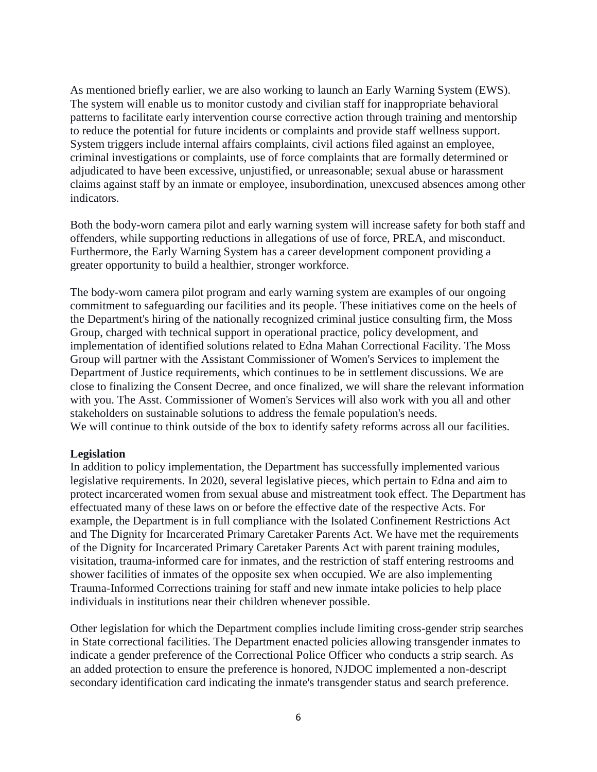As mentioned briefly earlier, we are also working to launch an Early Warning System (EWS). The system will enable us to monitor custody and civilian staff for inappropriate behavioral patterns to facilitate early intervention course corrective action through training and mentorship to reduce the potential for future incidents or complaints and provide staff wellness support. System triggers include internal affairs complaints, civil actions filed against an employee, criminal investigations or complaints, use of force complaints that are formally determined or adjudicated to have been excessive, unjustified, or unreasonable; sexual abuse or harassment claims against staff by an inmate or employee, insubordination, unexcused absences among other indicators.

Both the body-worn camera pilot and early warning system will increase safety for both staff and offenders, while supporting reductions in allegations of use of force, PREA, and misconduct. Furthermore, the Early Warning System has a career development component providing a greater opportunity to build a healthier, stronger workforce.

The body-worn camera pilot program and early warning system are examples of our ongoing commitment to safeguarding our facilities and its people. These initiatives come on the heels of the Department's hiring of the nationally recognized criminal justice consulting firm, the Moss Group, charged with technical support in operational practice, policy development, and implementation of identified solutions related to Edna Mahan Correctional Facility. The Moss Group will partner with the Assistant Commissioner of Women's Services to implement the Department of Justice requirements, which continues to be in settlement discussions. We are close to finalizing the Consent Decree, and once finalized, we will share the relevant information with you. The Asst. Commissioner of Women's Services will also work with you all and other stakeholders on sustainable solutions to address the female population's needs. We will continue to think outside of the box to identify safety reforms across all our facilities.

#### **Legislation**

In addition to policy implementation, the Department has successfully implemented various legislative requirements. In 2020, several legislative pieces, which pertain to Edna and aim to protect incarcerated women from sexual abuse and mistreatment took effect. The Department has effectuated many of these laws on or before the effective date of the respective Acts. For example, the Department is in full compliance with the Isolated Confinement Restrictions Act and The Dignity for Incarcerated Primary Caretaker Parents Act. We have met the requirements of the Dignity for Incarcerated Primary Caretaker Parents Act with parent training modules, visitation, trauma-informed care for inmates, and the restriction of staff entering restrooms and shower facilities of inmates of the opposite sex when occupied. We are also implementing Trauma-Informed Corrections training for staff and new inmate intake policies to help place individuals in institutions near their children whenever possible.

Other legislation for which the Department complies include limiting cross-gender strip searches in State correctional facilities. The Department enacted policies allowing transgender inmates to indicate a gender preference of the Correctional Police Officer who conducts a strip search. As an added protection to ensure the preference is honored, NJDOC implemented a non-descript secondary identification card indicating the inmate's transgender status and search preference.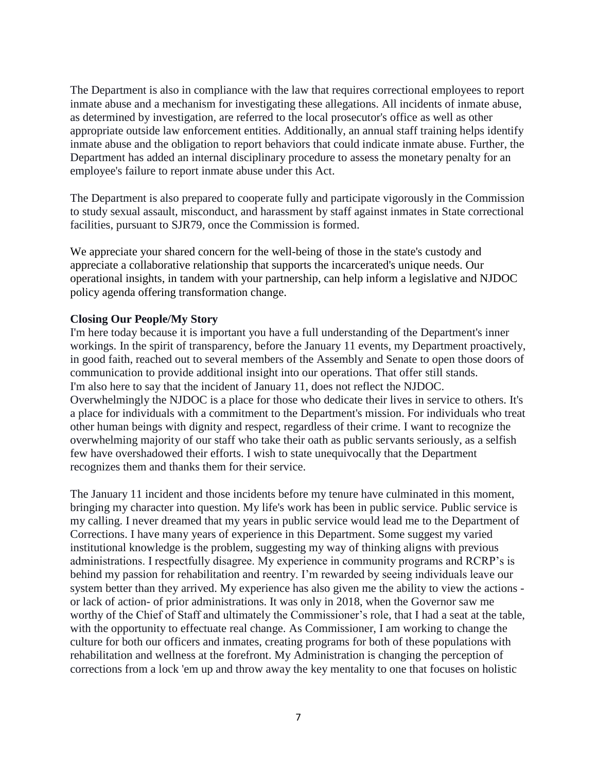The Department is also in compliance with the law that requires correctional employees to report inmate abuse and a mechanism for investigating these allegations. All incidents of inmate abuse, as determined by investigation, are referred to the local prosecutor's office as well as other appropriate outside law enforcement entities. Additionally, an annual staff training helps identify inmate abuse and the obligation to report behaviors that could indicate inmate abuse. Further, the Department has added an internal disciplinary procedure to assess the monetary penalty for an employee's failure to report inmate abuse under this Act.

The Department is also prepared to cooperate fully and participate vigorously in the Commission to study sexual assault, misconduct, and harassment by staff against inmates in State correctional facilities, pursuant to SJR79*,* once the Commission is formed.

We appreciate your shared concern for the well-being of those in the state's custody and appreciate a collaborative relationship that supports the incarcerated's unique needs. Our operational insights, in tandem with your partnership, can help inform a legislative and NJDOC policy agenda offering transformation change.

## **Closing Our People/My Story**

I'm here today because it is important you have a full understanding of the Department's inner workings. In the spirit of transparency, before the January 11 events, my Department proactively, in good faith, reached out to several members of the Assembly and Senate to open those doors of communication to provide additional insight into our operations. That offer still stands. I'm also here to say that the incident of January 11, does not reflect the NJDOC. Overwhelmingly the NJDOC is a place for those who dedicate their lives in service to others. It's a place for individuals with a commitment to the Department's mission. For individuals who treat other human beings with dignity and respect, regardless of their crime. I want to recognize the overwhelming majority of our staff who take their oath as public servants seriously, as a selfish few have overshadowed their efforts. I wish to state unequivocally that the Department recognizes them and thanks them for their service.

The January 11 incident and those incidents before my tenure have culminated in this moment, bringing my character into question. My life's work has been in public service. Public service is my calling. I never dreamed that my years in public service would lead me to the Department of Corrections. I have many years of experience in this Department. Some suggest my varied institutional knowledge is the problem, suggesting my way of thinking aligns with previous administrations. I respectfully disagree. My experience in community programs and RCRP's is behind my passion for rehabilitation and reentry. I'm rewarded by seeing individuals leave our system better than they arrived. My experience has also given me the ability to view the actions or lack of action- of prior administrations. It was only in 2018, when the Governor saw me worthy of the Chief of Staff and ultimately the Commissioner's role, that I had a seat at the table, with the opportunity to effectuate real change. As Commissioner, I am working to change the culture for both our officers and inmates, creating programs for both of these populations with rehabilitation and wellness at the forefront. My Administration is changing the perception of corrections from a lock 'em up and throw away the key mentality to one that focuses on holistic